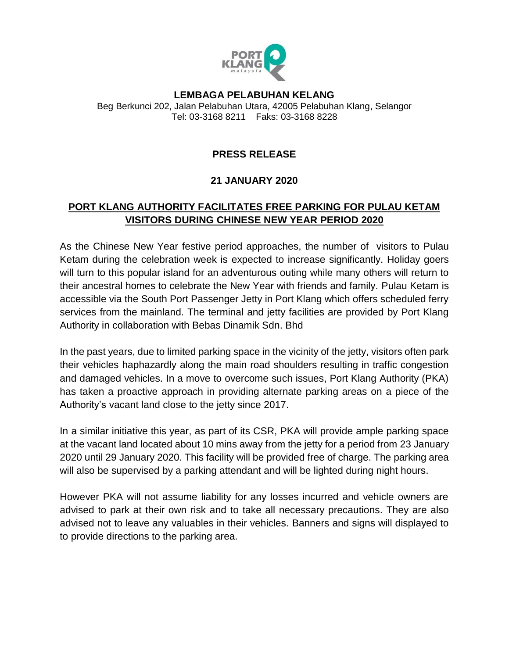

## **LEMBAGA PELABUHAN KELANG** Beg Berkunci 202, Jalan Pelabuhan Utara, 42005 Pelabuhan Klang, Selangor Tel: 03-3168 8211 Faks: 03-3168 8228

## **PRESS RELEASE**

## **21 JANUARY 2020**

## **PORT KLANG AUTHORITY FACILITATES FREE PARKING FOR PULAU KETAM VISITORS DURING CHINESE NEW YEAR PERIOD 2020**

As the Chinese New Year festive period approaches, the number of visitors to Pulau Ketam during the celebration week is expected to increase significantly. Holiday goers will turn to this popular island for an adventurous outing while many others will return to their ancestral homes to celebrate the New Year with friends and family. Pulau Ketam is accessible via the South Port Passenger Jetty in Port Klang which offers scheduled ferry services from the mainland. The terminal and jetty facilities are provided by Port Klang Authority in collaboration with Bebas Dinamik Sdn. Bhd

In the past years, due to limited parking space in the vicinity of the jetty, visitors often park their vehicles haphazardly along the main road shoulders resulting in traffic congestion and damaged vehicles. In a move to overcome such issues, Port Klang Authority (PKA) has taken a proactive approach in providing alternate parking areas on a piece of the Authority's vacant land close to the jetty since 2017.

In a similar initiative this year, as part of its CSR, PKA will provide ample parking space at the vacant land located about 10 mins away from the jetty for a period from 23 January 2020 until 29 January 2020. This facility will be provided free of charge. The parking area will also be supervised by a parking attendant and will be lighted during night hours.

However PKA will not assume liability for any losses incurred and vehicle owners are advised to park at their own risk and to take all necessary precautions. They are also advised not to leave any valuables in their vehicles. Banners and signs will displayed to to provide directions to the parking area.